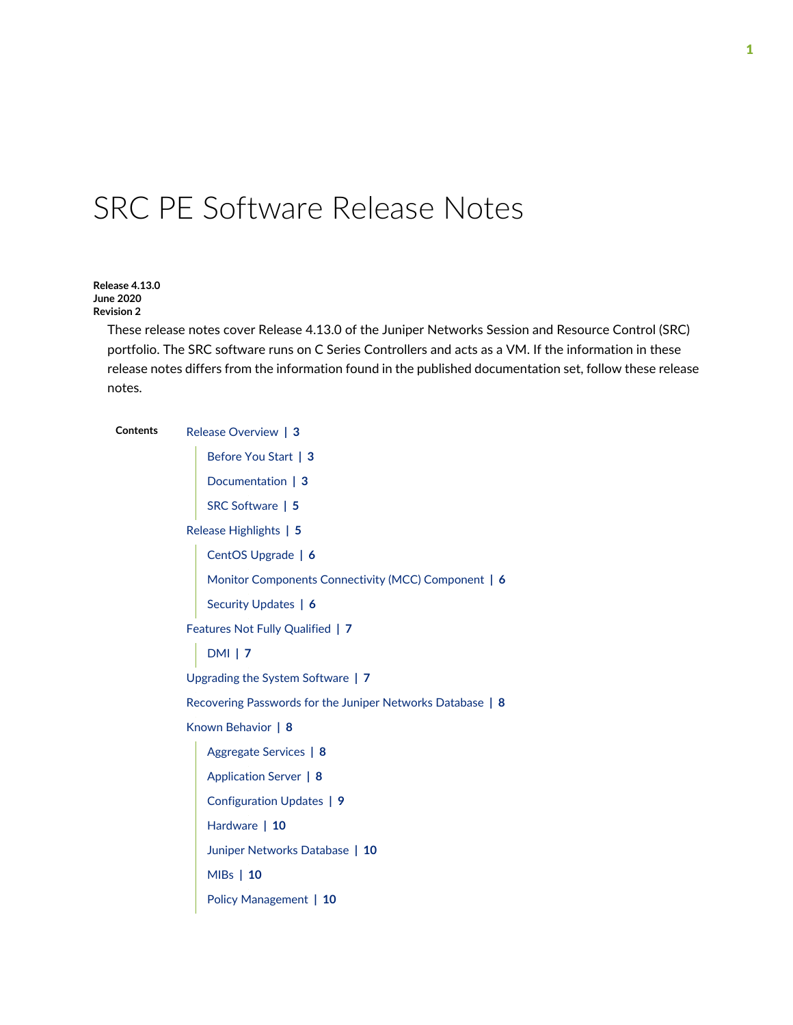# SRC PE Software Release Notes

**Release 4.13.0 June 2020 Revision 2**

> These release notes cover Release 4.13.0 of the Juniper Networks Session and Resource Control (SRC) portfolio. The SRC software runs on C Series Controllers and acts as a VM. If the information in these release notes differs from the information found in the published documentation set, follow these release notes.

| Contents | Release Overview   3                                       |  |  |
|----------|------------------------------------------------------------|--|--|
|          | Before You Start   3                                       |  |  |
|          | Documentation   3                                          |  |  |
|          | SRC Software   5                                           |  |  |
|          | Release Highlights   5                                     |  |  |
|          | CentOS Upgrade   6                                         |  |  |
|          | Monitor Components Connectivity (MCC) Component   6        |  |  |
|          | Security Updates   6                                       |  |  |
|          | Features Not Fully Qualified   7                           |  |  |
|          | <b>DMI 17</b>                                              |  |  |
|          | Upgrading the System Software   7                          |  |  |
|          | Recovering Passwords for the Juniper Networks Database   8 |  |  |
|          | Known Behavior   8                                         |  |  |
|          | Aggregate Services   8                                     |  |  |
|          | Application Server   8                                     |  |  |
|          | Configuration Updates   9                                  |  |  |
|          | Hardware   10                                              |  |  |
|          | Juniper Networks Database   10                             |  |  |
|          | MIBs   10                                                  |  |  |
|          | Policy Management   10                                     |  |  |
|          |                                                            |  |  |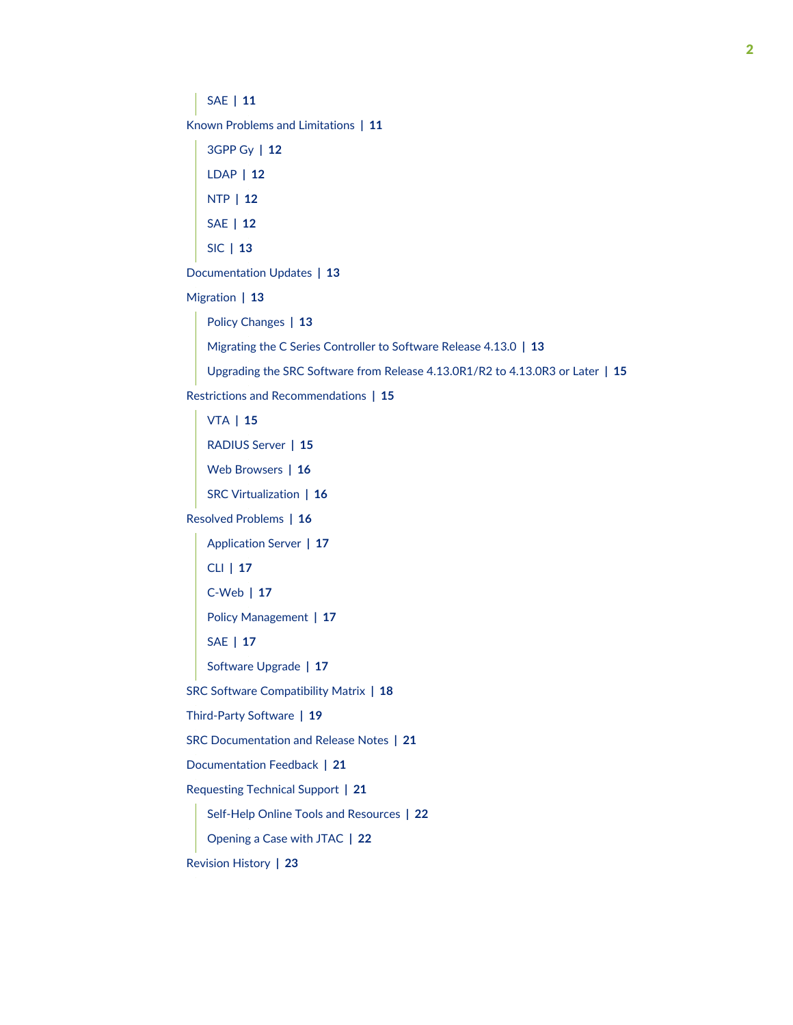[SAE](#page-10-0) **| [11](#page-10-0)**

Known Problems and [Limitations](#page-10-1) **| [11](#page-10-1)**

[3GPP](#page-11-0) Gy **| [12](#page-11-0)** [LDAP](#page-11-1) **| [12](#page-11-1)** [NTP](#page-11-2) **| [12](#page-11-2)** [SAE](#page-11-3) **| [12](#page-11-3)** [SIC](#page-12-0) **| [13](#page-12-0)**

[Documentation](#page-12-1) Updates **| [13](#page-12-1)**

[Migration](#page-12-2) **| [13](#page-12-2)**

Policy [Changes](#page-12-3) **| [13](#page-12-3)** Migrating the C Series [Controller](#page-12-4) to Software Release 4.13.0 **| [13](#page-12-4)**

Upgrading the SRC Software from Release [4.13.0R1/R2](#page-14-0) to 4.13.0R3 or Later **| [15](#page-14-0)**

Restrictions and [Recommendations](#page-14-1) **| [15](#page-14-1)**

[VTA](#page-14-2) **| [15](#page-14-2)** [RADIUS](#page-14-3) Server **| [15](#page-14-3)** Web [Browsers](#page-15-0) **| [16](#page-15-0)** SRC [Virtualization](#page-15-1) **| [16](#page-15-1)** Resolved [Problems](#page-15-2) **| [16](#page-15-2)** [Application](#page-16-0) Server **| [17](#page-16-0)** [CLI](#page-16-1) **| [17](#page-16-1)** [C-Web](#page-16-2) **| [17](#page-16-2)** Policy [Management](#page-16-3) **| [17](#page-16-3)** [SAE](#page-16-4) **| [17](#page-16-4)** [Software](#page-16-5) Upgrade **| [17](#page-16-5)** SRC Software [Compatibility](#page-17-0) Matrix **| [18](#page-17-0)** [Third-Party](#page-18-0) Software **| [19](#page-18-0)** SRC [Documentation](#page-20-0) and Release Notes **| [21](#page-20-0)** [Documentation](#page-20-1) Feedback **| [21](#page-20-1)** [Requesting](#page-20-2) Technical Support **| [21](#page-20-2)** Self-Help Online Tools and [Resources](#page-21-0) **| [22](#page-21-0)** [Opening](#page-21-1) a Case with JTAC **| [22](#page-21-1)**

[Revision](#page-22-0) History **| [23](#page-22-0)**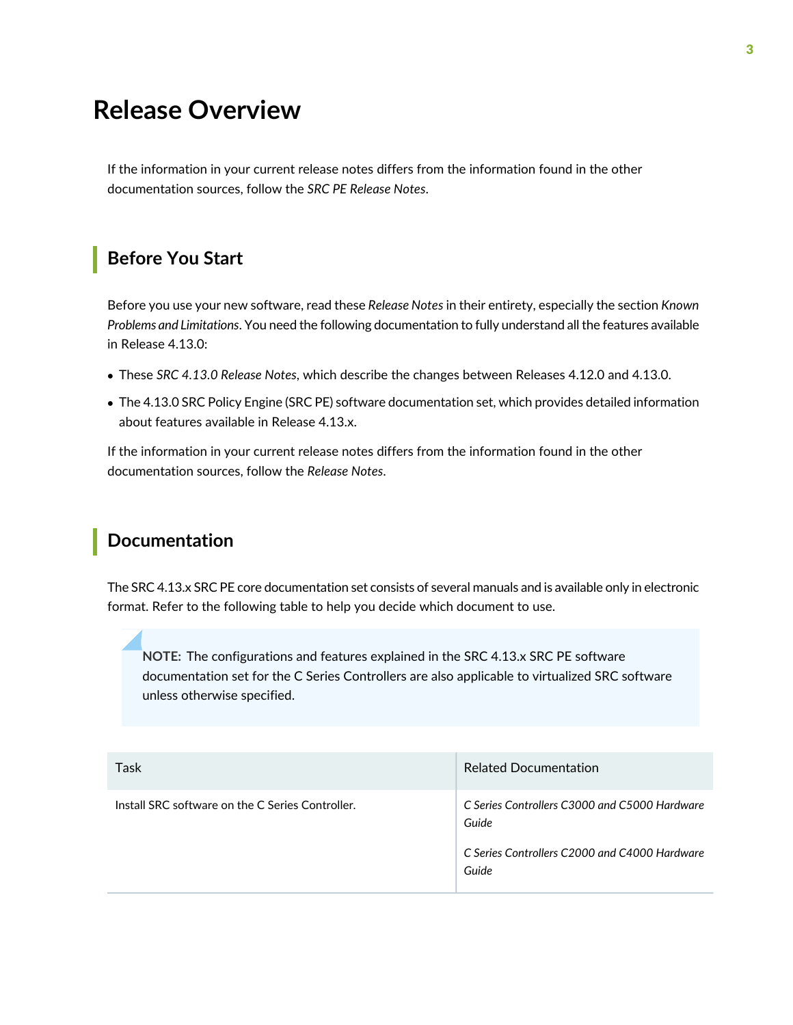# <span id="page-2-0"></span>**Release Overview**

If the information in your current release notes differs from the information found in the other documentation sources, follow the *SRC PE Release Notes*.

### <span id="page-2-1"></span>**Before You Start**

Before you use your new software, read these *Release Notes* in their entirety, especially the section *Known Problems and Limitations*. You need the following documentation to fully understand all the features available in Release 4.13.0:

- These *SRC 4.13.0 Release Notes*, which describe the changes between Releases 4.12.0 and 4.13.0.
- The 4.13.0 SRC Policy Engine (SRC PE) software documentation set, which provides detailed information about features available in Release 4.13.x.

<span id="page-2-2"></span>If the information in your current release notes differs from the information found in the other documentation sources, follow the *Release Notes*.

#### **Documentation**

The SRC 4.13.x SRC PE core documentation set consists of several manuals and is available only in electronic format. Refer to the following table to help you decide which document to use.

**NOTE:** The configurations and features explained in the SRC 4.13.x SRC PE software documentation set for the C Series Controllers are also applicable to virtualized SRC software unless otherwise specified.

| Task                                             | <b>Related Documentation</b>                                                                                     |
|--------------------------------------------------|------------------------------------------------------------------------------------------------------------------|
| Install SRC software on the C Series Controller. | C Series Controllers C3000 and C5000 Hardware<br>Guide<br>C Series Controllers C2000 and C4000 Hardware<br>Guide |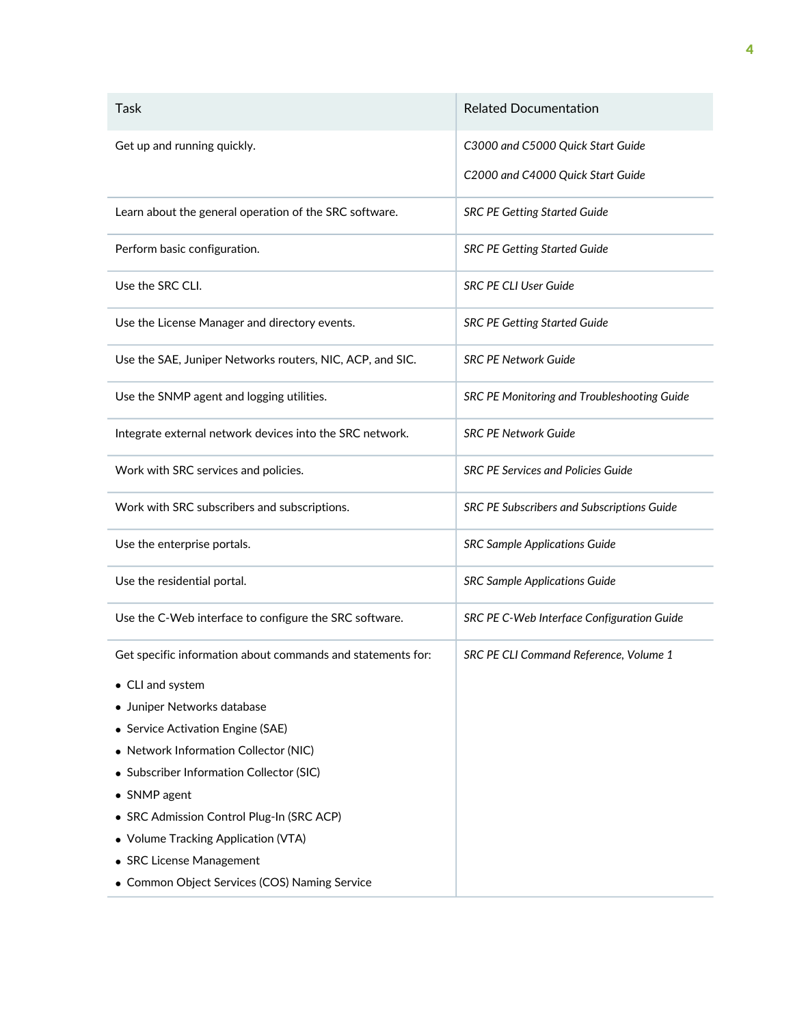| Task                                                        | <b>Related Documentation</b>                |
|-------------------------------------------------------------|---------------------------------------------|
| Get up and running quickly.                                 | C3000 and C5000 Quick Start Guide           |
|                                                             | C2000 and C4000 Quick Start Guide           |
| Learn about the general operation of the SRC software.      | <b>SRC PE Getting Started Guide</b>         |
| Perform basic configuration.                                | <b>SRC PE Getting Started Guide</b>         |
| Use the SRC CLI.                                            | <b>SRC PE CLI User Guide</b>                |
| Use the License Manager and directory events.               | <b>SRC PE Getting Started Guide</b>         |
| Use the SAE, Juniper Networks routers, NIC, ACP, and SIC.   | <b>SRC PE Network Guide</b>                 |
| Use the SNMP agent and logging utilities.                   | SRC PE Monitoring and Troubleshooting Guide |
| Integrate external network devices into the SRC network.    | <b>SRC PE Network Guide</b>                 |
| Work with SRC services and policies.                        | <b>SRC PE Services and Policies Guide</b>   |
| Work with SRC subscribers and subscriptions.                | SRC PE Subscribers and Subscriptions Guide  |
| Use the enterprise portals.                                 | <b>SRC Sample Applications Guide</b>        |
| Use the residential portal.                                 | <b>SRC Sample Applications Guide</b>        |
| Use the C-Web interface to configure the SRC software.      | SRC PE C-Web Interface Configuration Guide  |
| Get specific information about commands and statements for: | SRC PE CLI Command Reference, Volume 1      |
| • CLI and system                                            |                                             |
| • Juniper Networks database                                 |                                             |
| • Service Activation Engine (SAE)                           |                                             |
| • Network Information Collector (NIC)                       |                                             |
| • Subscriber Information Collector (SIC)                    |                                             |
| • SNMP agent                                                |                                             |
| • SRC Admission Control Plug-In (SRC ACP)                   |                                             |
| • Volume Tracking Application (VTA)                         |                                             |
| • SRC License Management                                    |                                             |
| • Common Object Services (COS) Naming Service               |                                             |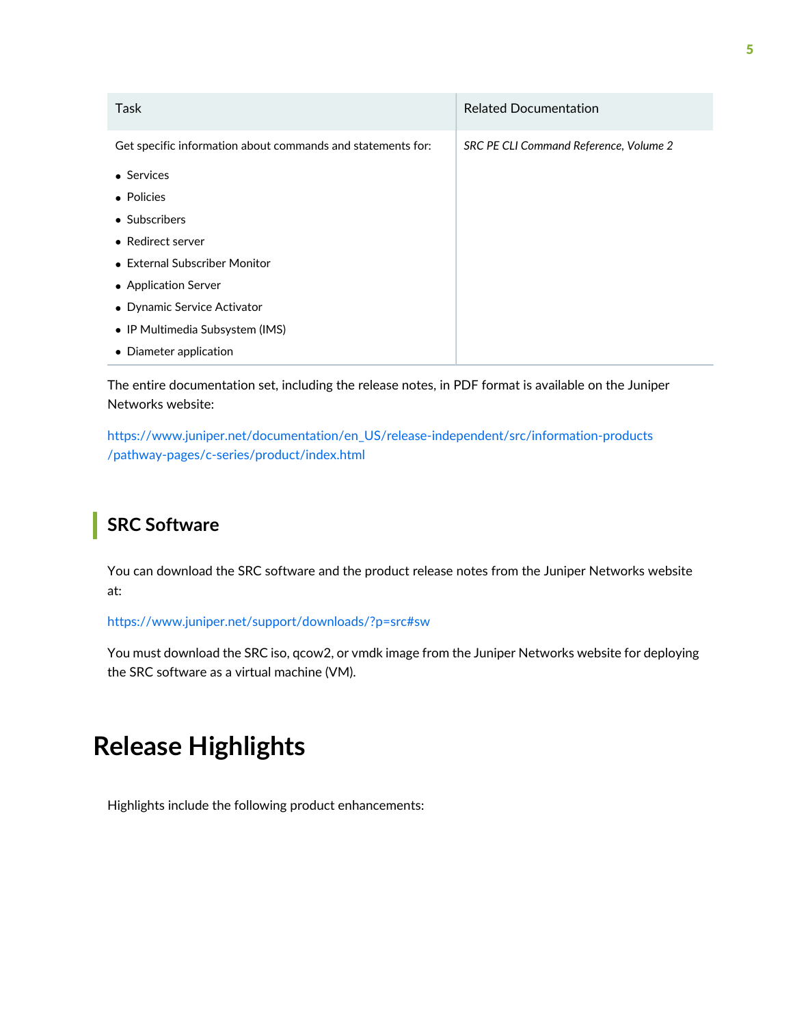| Task                                                        | <b>Related Documentation</b>           |
|-------------------------------------------------------------|----------------------------------------|
| Get specific information about commands and statements for: | SRC PE CLI Command Reference, Volume 2 |
| • Services                                                  |                                        |
| • Policies                                                  |                                        |
| • Subscribers                                               |                                        |
| • Redirect server                                           |                                        |
| • External Subscriber Monitor                               |                                        |
| • Application Server                                        |                                        |
| • Dynamic Service Activator                                 |                                        |
| • IP Multimedia Subsystem (IMS)                             |                                        |
| • Diameter application                                      |                                        |

The entire documentation set, including the release notes, in PDF format is available on the Juniper Networks website:

<span id="page-4-0"></span>[https://www.juniper.net/documentation/en\\_US/release-independent/src/information-products](https://www.juniper.net/documentation/en_US/release-independent/src/information-products/pathway-pages/c-series/product/index.html) [/pathway-pages/c-series/product/index.html](https://www.juniper.net/documentation/en_US/release-independent/src/information-products/pathway-pages/c-series/product/index.html)

## **SRC Software**

You can download the SRC software and the product release notes from the Juniper Networks website at:

<https://www.juniper.net/support/downloads/?p=src#sw>

<span id="page-4-1"></span>You must download the SRC iso, qcow2, or vmdk image from the Juniper Networks website for deploying the SRC software as a virtual machine (VM).

# **Release Highlights**

Highlights include the following product enhancements: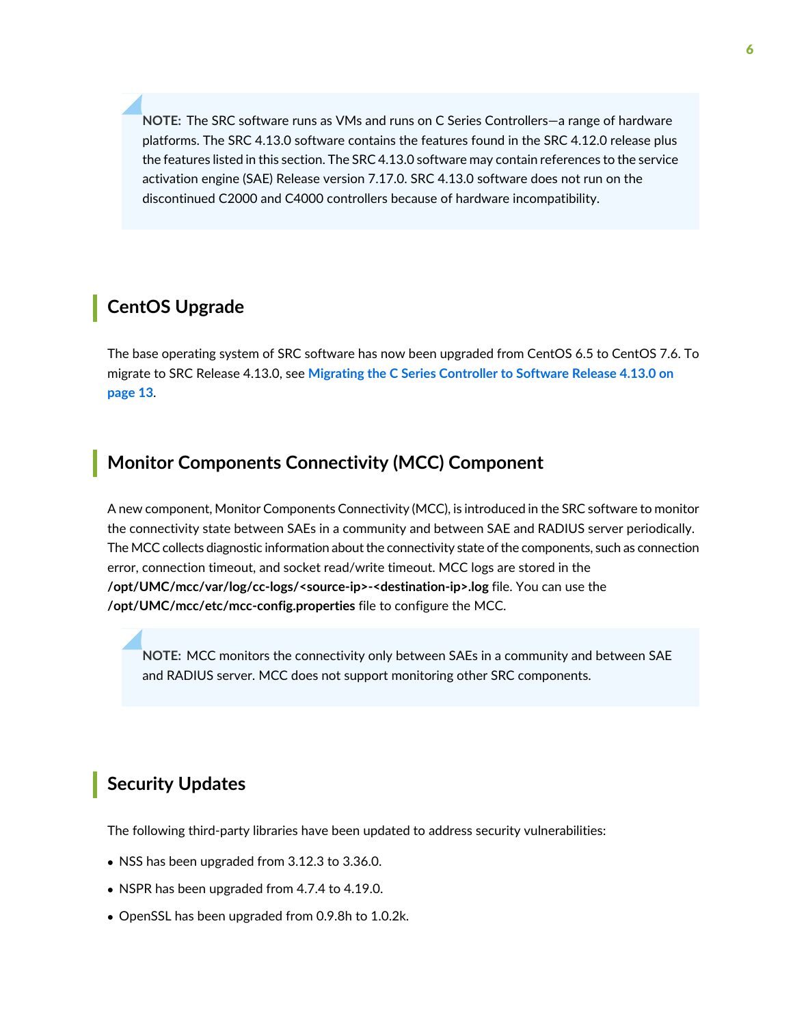**NOTE:** The SRC software runs as VMs and runs on C Series Controllers—a range of hardware platforms. The SRC 4.13.0 software contains the features found in the SRC 4.12.0 release plus the features listed in this section. The SRC 4.13.0 software may contain references to the service activation engine (SAE) Release version 7.17.0. SRC 4.13.0 software does not run on the discontinued C2000 and C4000 controllers because of hardware incompatibility.

### <span id="page-5-0"></span>**CentOS Upgrade**

The base operating system of SRC software has now been upgraded from CentOS 6.5 to CentOS 7.6. To migrate to SRC Release 4.13.0, see **Migrating the C Series [Controller](#page-12-4) to Software Release 4.13.0 on [page](#page-12-4) 13**.

#### <span id="page-5-1"></span>**Monitor Components Connectivity (MCC) Component**

A new component, Monitor Components Connectivity (MCC), is introduced in the SRC software to monitor the connectivity state between SAEs in a community and between SAE and RADIUS server periodically. The MCC collects diagnostic information about the connectivity state of the components, such as connection error, connection timeout, and socket read/write timeout. MCC logs are stored in the **/opt/UMC/mcc/var/log/cc-logs/<source-ip>-<destination-ip>.log** file. You can use the **/opt/UMC/mcc/etc/mcc-config.properties** file to configure the MCC.

<span id="page-5-2"></span>**NOTE:** MCC monitors the connectivity only between SAEs in a community and between SAE and RADIUS server. MCC does not support monitoring other SRC components.

### **Security Updates**

The following third-party libraries have been updated to address security vulnerabilities:

- NSS has been upgraded from 3.12.3 to 3.36.0.
- NSPR has been upgraded from 4.7.4 to 4.19.0.
- OpenSSL has been upgraded from 0.9.8h to 1.0.2k.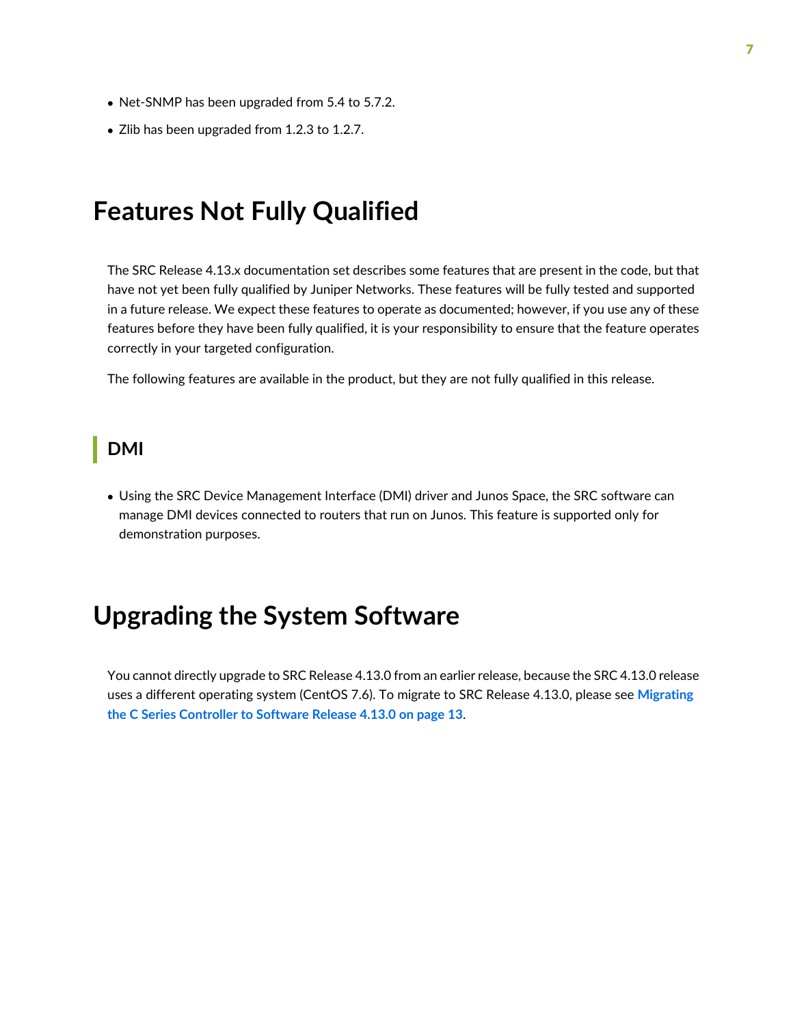- Net-SNMP has been upgraded from 5.4 to 5.7.2.
- Zlib has been upgraded from 1.2.3 to 1.2.7.

# <span id="page-6-0"></span>**Features Not Fully Qualified**

The SRC Release 4.13.x documentation set describes some features that are present in the code, but that have not yet been fully qualified by Juniper Networks. These features will be fully tested and supported in a future release. We expect these features to operate as documented; however, if you use any of these features before they have been fully qualified, it is your responsibility to ensure that the feature operates correctly in your targeted configuration.

<span id="page-6-1"></span>The following features are available in the product, but they are not fully qualified in this release.

#### **DMI**

<span id="page-6-2"></span>• Using the SRC Device Management Interface (DMI) driver and Junos Space, the SRC software can manage DMI devices connected to routers that run on Junos. This feature is supported only for demonstration purposes.

# **Upgrading the System Software**

You cannot directly upgrade to SRC Release 4.13.0 from an earlier release, because the SRC 4.13.0 release uses a different operating system (CentOS 7.6). To migrate to SRC Release 4.13.0, please see **[Migrating](#page-12-4) the C Series [Controller](#page-12-4) to Software Release 4.13.0 on page 13**.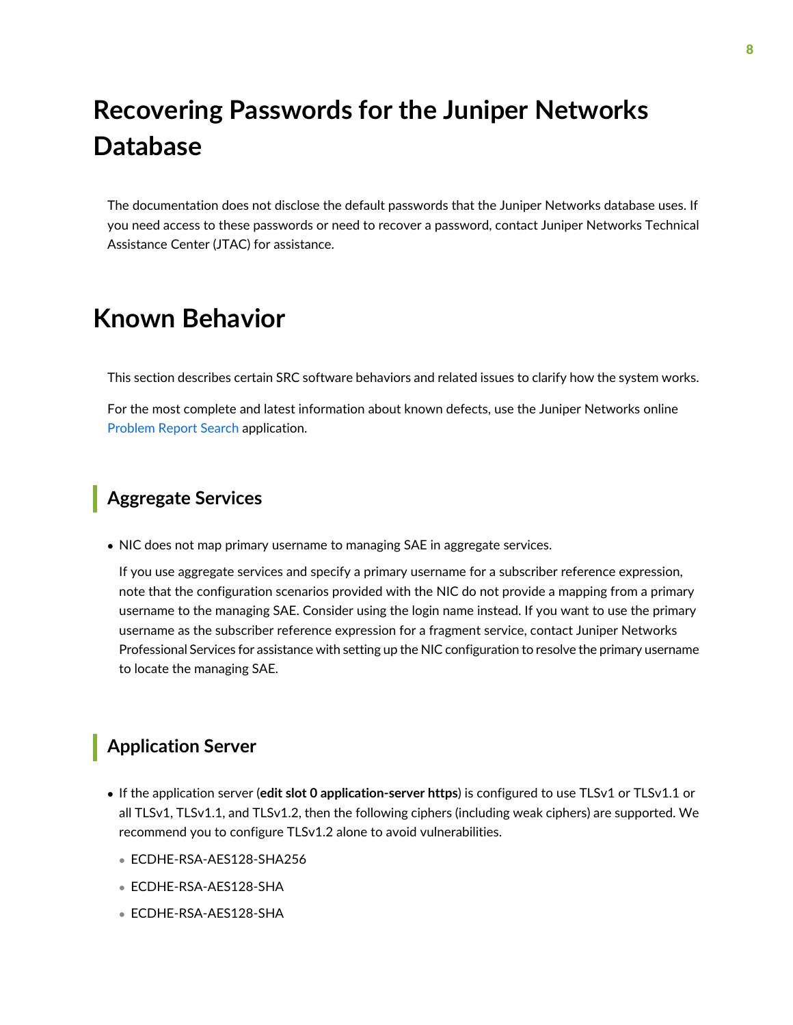# <span id="page-7-0"></span>**Recovering Passwords for the Juniper Networks Database**

The documentation does not disclose the default passwords that the Juniper Networks database uses. If you need access to these passwords or need to recover a password, contact Juniper Networks Technical Assistance Center (JTAC) for assistance.

# <span id="page-7-1"></span>**Known Behavior**

This section describes certain SRC software behaviors and related issues to clarify how the system works.

<span id="page-7-2"></span>For the most complete and latest information about known defects, use the Juniper Networks online [Problem](https://prsearch.juniper.net) Report Search application.

#### **Aggregate Services**

• NIC does not map primary username to managing SAE in aggregate services.

If you use aggregate services and specify a primary username for a subscriber reference expression, note that the configuration scenarios provided with the NIC do not provide a mapping from a primary username to the managing SAE. Consider using the login name instead. If you want to use the primary username as the subscriber reference expression for a fragment service, contact Juniper Networks Professional Services for assistance with setting up the NIC configuration to resolve the primary username to locate the managing SAE.

#### <span id="page-7-3"></span>**Application Server**

- If the application server (**edit slot 0 application-server https**) is configured to use TLSv1 or TLSv1.1 or all TLSv1, TLSv1.1, and TLSv1.2, then the following ciphers (including weak ciphers) are supported. We recommend you to configure TLSv1.2 alone to avoid vulnerabilities.
	- ECDHE-RSA-AES128-SHA256
	- ECDHE-RSA-AES128-SHA
	- ECDHE-RSA-AES128-SHA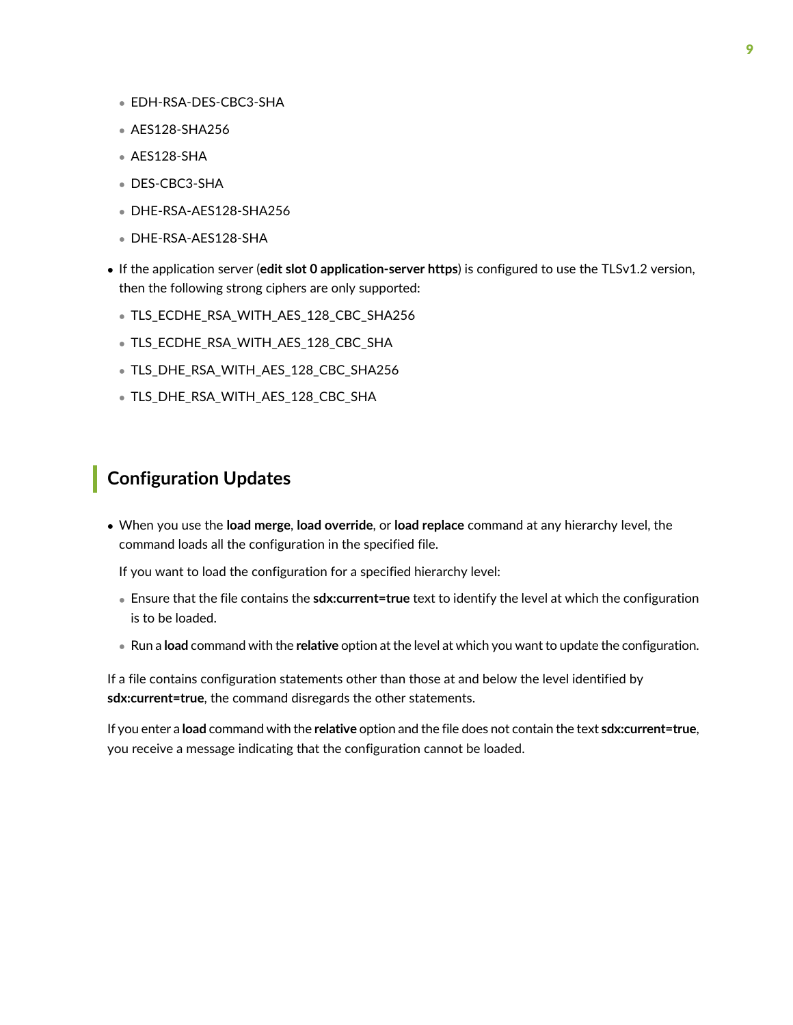- EDH-RSA-DES-CBC3-SHA
- AES128-SHA256
- AES128-SHA
- DES-CBC3-SHA
- DHE-RSA-AES128-SHA256
- DHE-RSA-AES128-SHA
- If the application server (**edit slot 0 application-server https**) is configured to use the TLSv1.2 version, then the following strong ciphers are only supported:
	- TLS\_ECDHE\_RSA\_WITH\_AES\_128\_CBC\_SHA256
	- TLS\_ECDHE\_RSA\_WITH\_AES\_128\_CBC\_SHA
	- TLS\_DHE\_RSA\_WITH\_AES\_128\_CBC\_SHA256
	- TLS\_DHE\_RSA\_WITH\_AES\_128\_CBC\_SHA

#### <span id="page-8-0"></span>**Configuration Updates**

• When you use the **load merge**, **load override**, or **load replace** command at any hierarchy level, the command loads all the configuration in the specified file.

If you want to load the configuration for a specified hierarchy level:

- Ensure that the file contains the **sdx:current=true** text to identify the level at which the configuration is to be loaded.
- Run a **load** command with the **relative** option at the level at which you want to update the configuration.

If a file contains configuration statements other than those at and below the level identified by **sdx:current=true**, the command disregards the other statements.

If you enter a **load** command with the **relative** option and the file does not contain the text **sdx:current=true**, you receive a message indicating that the configuration cannot be loaded.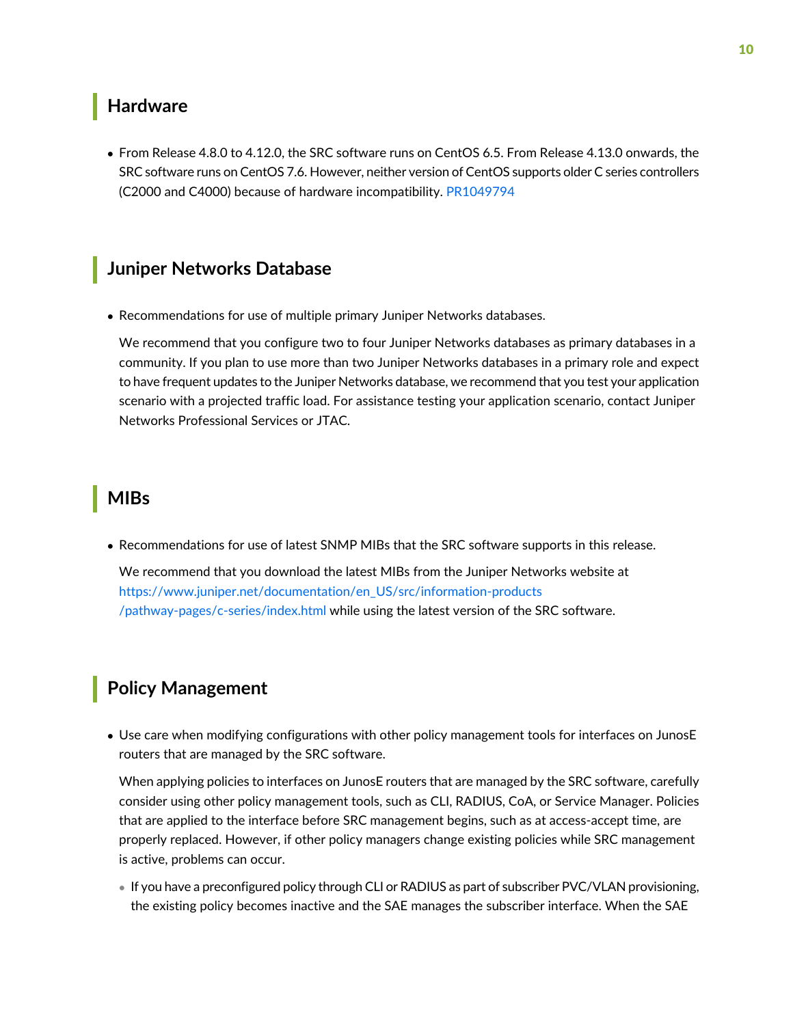#### <span id="page-9-0"></span>**Hardware**

• From Release 4.8.0 to 4.12.0, the SRC software runs on CentOS 6.5. From Release 4.13.0 onwards, the SRC software runs on CentOS 7.6. However, neither version of CentOS supports older C series controllers (C2000 and C4000) because of hardware incompatibility. [PR1049794](https://prsearch.juniper.net/PR1049794)

#### <span id="page-9-1"></span>**Juniper Networks Database**

• Recommendations for use of multiple primary Juniper Networks databases.

We recommend that you configure two to four Juniper Networks databases as primary databases in a community. If you plan to use more than two Juniper Networks databases in a primary role and expect to have frequent updates to the Juniper Networks database, we recommend that you test your application scenario with a projected traffic load. For assistance testing your application scenario, contact Juniper Networks Professional Services or JTAC.

#### <span id="page-9-2"></span>**MIBs**

• Recommendations for use of latest SNMP MIBs that the SRC software supports in this release.

<span id="page-9-3"></span>We recommend that you download the latest MIBs from the Juniper Networks website at [https://www.juniper.net/documentation/en\\_US/src/information-products](https://www.juniper.net/documentation/en_US/src/information-products/pathway-pages/c-series/index.html) [/pathway-pages/c-series/index.html](https://www.juniper.net/documentation/en_US/src/information-products/pathway-pages/c-series/index.html) while using the latest version of the SRC software.

## **Policy Management**

• Use care when modifying configurations with other policy management tools for interfaces on JunosE routers that are managed by the SRC software.

When applying policies to interfaces on JunosE routers that are managed by the SRC software, carefully consider using other policy management tools, such as CLI, RADIUS, CoA, or Service Manager. Policies that are applied to the interface before SRC management begins, such as at access-accept time, are properly replaced. However, if other policy managers change existing policies while SRC management is active, problems can occur.

• If you have a preconfigured policy through CLI or RADIUS as part of subscriber PVC/VLAN provisioning, the existing policy becomes inactive and the SAE manages the subscriber interface. When the SAE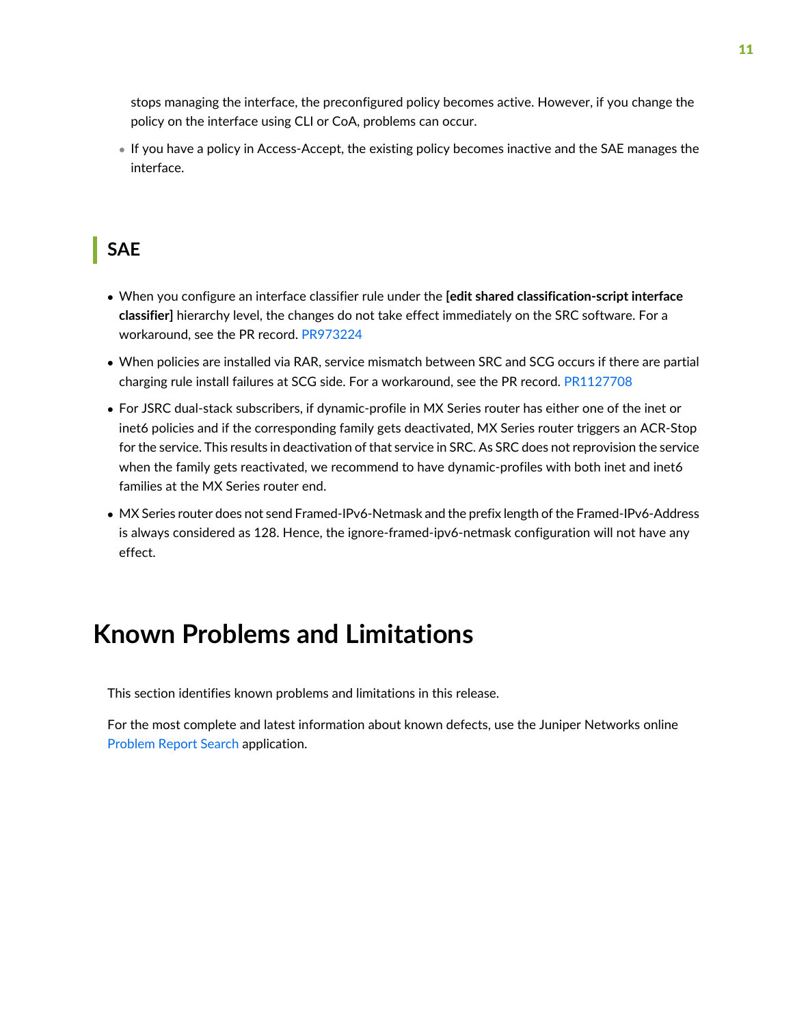stops managing the interface, the preconfigured policy becomes active. However, if you change the policy on the interface using CLI or CoA, problems can occur.

• If you have a policy in Access-Accept, the existing policy becomes inactive and the SAE manages the interface.

#### <span id="page-10-0"></span>**SAE**

- When you configure an interface classifier rule under the **[edit shared classification-script interface classifier]** hierarchy level, the changes do not take effect immediately on the SRC software. For a workaround, see the PR record. [PR973224](https://prsearch.juniper.net/PR973224)
- When policies are installed via RAR, service mismatch between SRC and SCG occurs if there are partial charging rule install failures at SCG side. For a workaround, see the PR record. [PR1127708](https://prsearch.juniper.net/PR1127708)
- For JSRC dual-stack subscribers, if dynamic-profile in MX Series router has either one of the inet or inet6 policies and if the corresponding family gets deactivated, MX Series router triggers an ACR-Stop for the service. This results in deactivation of that service in SRC. As SRC does not reprovision the service when the family gets reactivated, we recommend to have dynamic-profiles with both inet and inet6 families at the MX Series router end.
- <span id="page-10-1"></span>• MX Series router does not send Framed-IPv6-Netmask and the prefix length of the Framed-IPv6-Address is always considered as 128. Hence, the ignore-framed-ipv6-netmask configuration will not have any effect.

# **Known Problems and Limitations**

This section identifies known problems and limitations in this release.

For the most complete and latest information about known defects, use the Juniper Networks online [Problem](https://prsearch.juniper.net) Report Search application.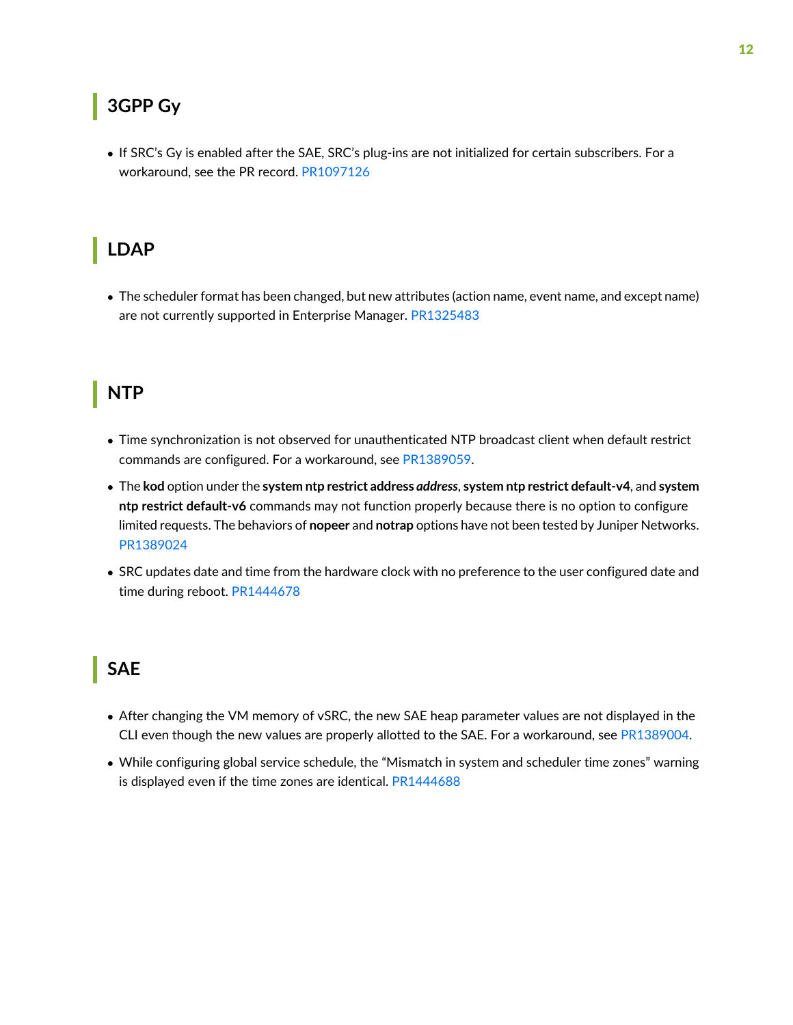### <span id="page-11-0"></span>**3GPP Gy**

• If SRC's Gy is enabled after the SAE, SRC's plug-ins are not initialized for certain subscribers. For a workaround, see the PR record. [PR1097126](https://prsearch.juniper.net/PR1097126)

# <span id="page-11-1"></span>**LDAP**

• The scheduler format has been changed, but new attributes (action name, event name, and except name) are not currently supported in Enterprise Manager. [PR1325483](https://prsearch.juniper.net/PR1325483)

### <span id="page-11-2"></span>**NTP**

- Time synchronization is not observed for unauthenticated NTP broadcast client when default restrict commands are configured. For a workaround, see [PR1389059.](https://prsearch.juniper.net/PR1389059)
- The **kod** option under the **system ntp restrict address** *address*, **system ntp restrict default-v4**, and **system ntp restrict default-v6** commands may not function properly because there is no option to configure limited requests. The behaviors of **nopeer** and **notrap** options have not been tested by Juniper Networks. [PR1389024](https://prsearch.juniper.net/PR1389024)
- <span id="page-11-3"></span>• SRC updates date and time from the hardware clock with no preference to the user configured date and time during reboot. [PR1444678](https://prsearch.juniper.net/PR1444678)

### **SAE**

- After changing the VM memory of vSRC, the new SAE heap parameter values are not displayed in the CLI even though the new values are properly allotted to the SAE. For a workaround, see [PR1389004](https://prsearch.juniper.net/PR1389004).
- While configuring global service schedule, the "Mismatch in system and scheduler time zones" warning is displayed even if the time zones are identical. [PR1444688](https://prsearch.juniper.net/PR1444688)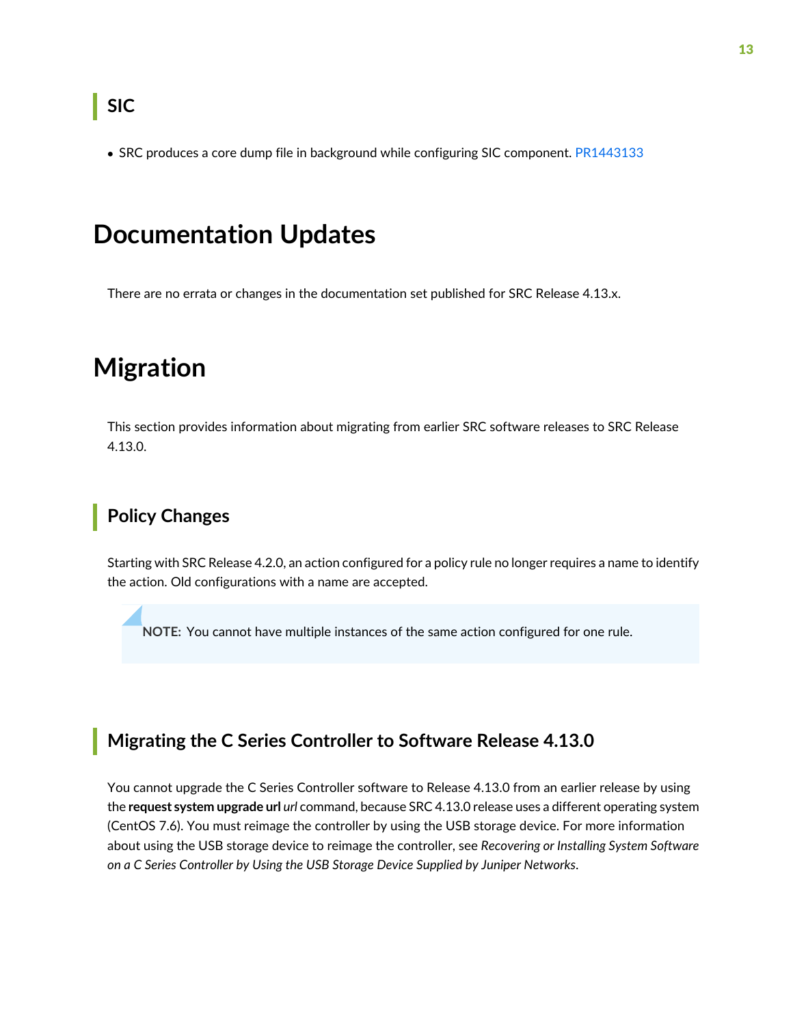<span id="page-12-0"></span>• SRC produces a core dump file in background while configuring SIC component. [PR1443133](https://prsearch.juniper.net/PR1443133)

# <span id="page-12-1"></span>**Documentation Updates**

<span id="page-12-2"></span>There are no errata or changes in the documentation set published for SRC Release 4.13.x.

# **Migration**

<span id="page-12-3"></span>This section provides information about migrating from earlier SRC software releases to SRC Release 4.13.0.

# **Policy Changes**

Starting with SRC Release 4.2.0, an action configured for a policy rule no longer requires a name to identify the action. Old configurations with a name are accepted.

<span id="page-12-4"></span>**NOTE:** You cannot have multiple instances of the same action configured for one rule.

#### **Migrating the C Series Controller to Software Release 4.13.0**

You cannot upgrade the C Series Controller software to Release 4.13.0 from an earlier release by using the **request system upgrade url** *url* command, because SRC 4.13.0 release uses a different operating system (CentOS 7.6). You must reimage the controller by using the USB storage device. For more information about using the USB storage device to reimage the controller, see *Recovering or Installing System Software on a C Series Controller by Using the USB Storage Device Supplied by Juniper Networks*.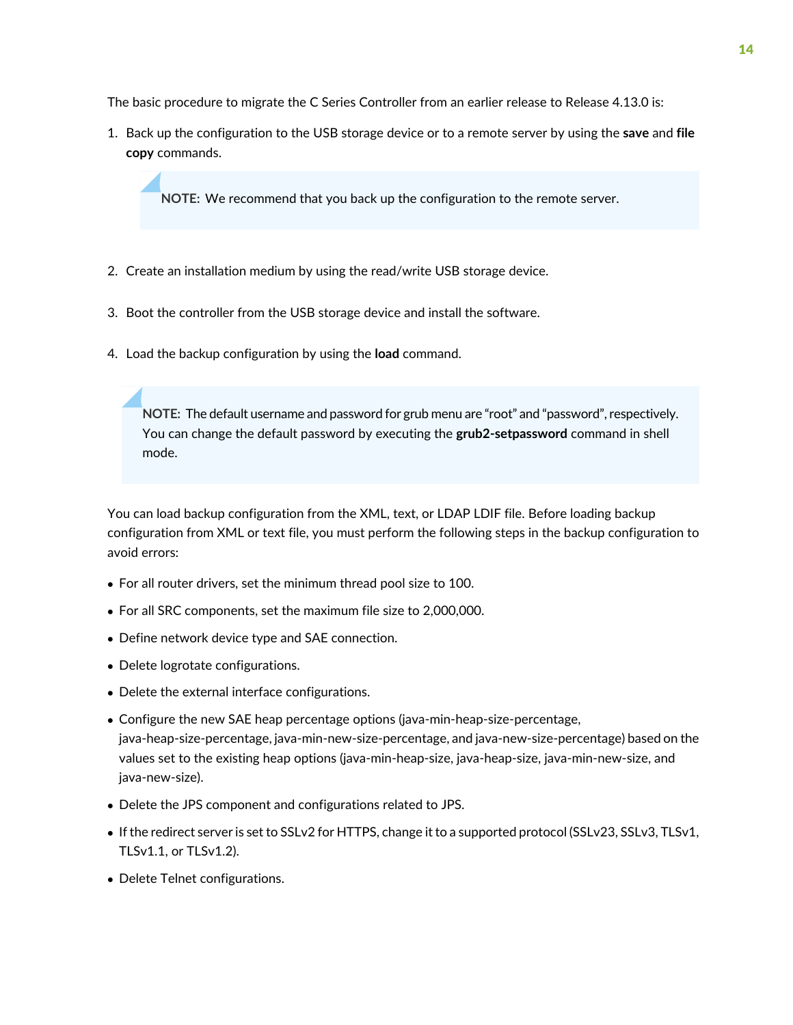The basic procedure to migrate the C Series Controller from an earlier release to Release 4.13.0 is:

1. Back up the configuration to the USB storage device or to a remote server by using the **save** and **file copy** commands.

**NOTE:** We recommend that you back up the configuration to the remote server.

- 2. Create an installation medium by using the read/write USB storage device.
- 3. Boot the controller from the USB storage device and install the software.
- 4. Load the backup configuration by using the **load** command.

**NOTE:** The default username and password for grub menu are "root" and "password",respectively. You can change the default password by executing the **grub2-setpassword** command in shell mode.

You can load backup configuration from the XML, text, or LDAP LDIF file. Before loading backup configuration from XML or text file, you must perform the following steps in the backup configuration to avoid errors:

- For all router drivers, set the minimum thread pool size to 100.
- For all SRC components, set the maximum file size to 2,000,000.
- Define network device type and SAE connection.
- Delete logrotate configurations.
- Delete the external interface configurations.
- Configure the new SAE heap percentage options (java-min-heap-size-percentage, java-heap-size-percentage, java-min-new-size-percentage, and java-new-size-percentage) based on the values set to the existing heap options (java-min-heap-size, java-heap-size, java-min-new-size, and java-new-size).
- Delete the JPS component and configurations related to JPS.
- If the redirect server is set to SSLv2 for HTTPS, change it to a supported protocol (SSLv23, SSLv3, TLSv1, TLSv1.1, or TLSv1.2).
- Delete Telnet configurations.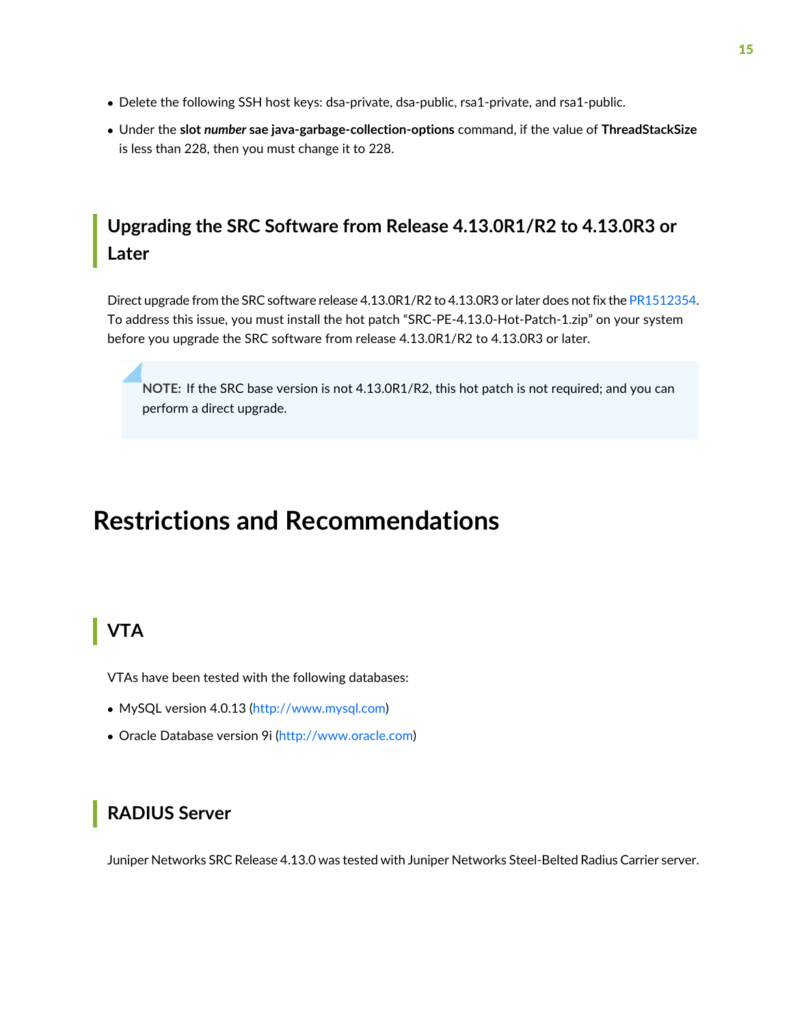- Delete the following SSH host keys: dsa-private, dsa-public, rsa1-private, and rsa1-public.
- Under the **slot** *number* **sae java-garbage-collection-options** command, if the value of **ThreadStackSize** is less than 228, then you must change it to 228.

### <span id="page-14-0"></span>**Upgrading the SRC Software from Release 4.13.0R1/R2 to 4.13.0R3 or Later**

Direct upgrade from the SRC software release 4.13.0R1/R2 to 4.13.0R3 or later does not fix the [PR1512354.](https://prsearch.juniper.net/PR1512354) To address this issue, you must install the hot patch "SRC-PE-4.13.0-Hot-Patch-1.zip" on your system before you upgrade the SRC software from release 4.13.0R1/R2 to 4.13.0R3 or later.

**NOTE:** If the SRC base version is not 4.13.0R1/R2, this hot patch is not required; and you can perform a direct upgrade.

# <span id="page-14-2"></span><span id="page-14-1"></span>**Restrictions and Recommendations**

## **VTA**

VTAs have been tested with the following databases:

- MySQL version 4.0.13 [\(http://www.mysql.com\)](http://www.mysql.com)
- <span id="page-14-3"></span>• Oracle Database version 9i [\(http://www.oracle.com\)](http://www.oracle.com)

#### **RADIUS Server**

Juniper Networks SRC Release 4.13.0 was tested with Juniper Networks Steel-Belted Radius Carrier server.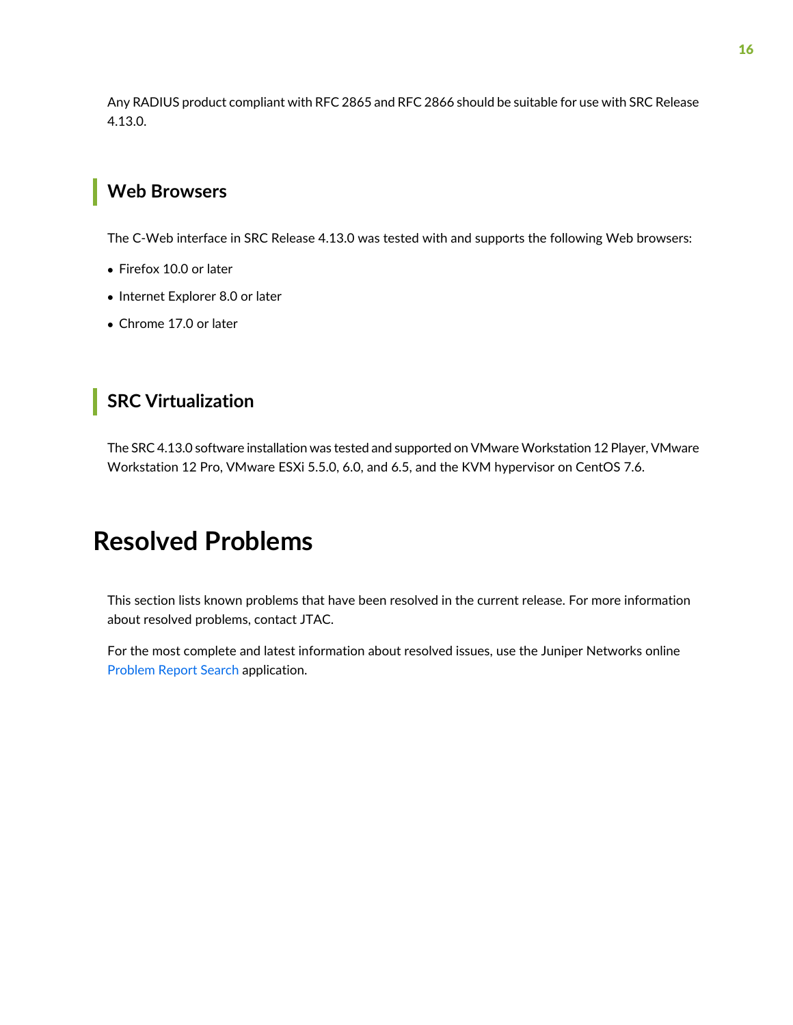Any RADIUS product compliant with RFC 2865 and RFC 2866 should be suitable for use with SRC Release 4.13.0.

### <span id="page-15-0"></span>**Web Browsers**

The C-Web interface in SRC Release 4.13.0 was tested with and supports the following Web browsers:

- Firefox 10.0 or later
- Internet Explorer 8.0 or later
- <span id="page-15-1"></span>• Chrome 17.0 or later

### **SRC Virtualization**

<span id="page-15-2"></span>The SRC 4.13.0 software installation was tested and supported on VMware Workstation 12 Player, VMware Workstation 12 Pro, VMware ESXi 5.5.0, 6.0, and 6.5, and the KVM hypervisor on CentOS 7.6.

# **Resolved Problems**

This section lists known problems that have been resolved in the current release. For more information about resolved problems, contact JTAC.

For the most complete and latest information about resolved issues, use the Juniper Networks online [Problem](https://prsearch.juniper.net) Report Search application.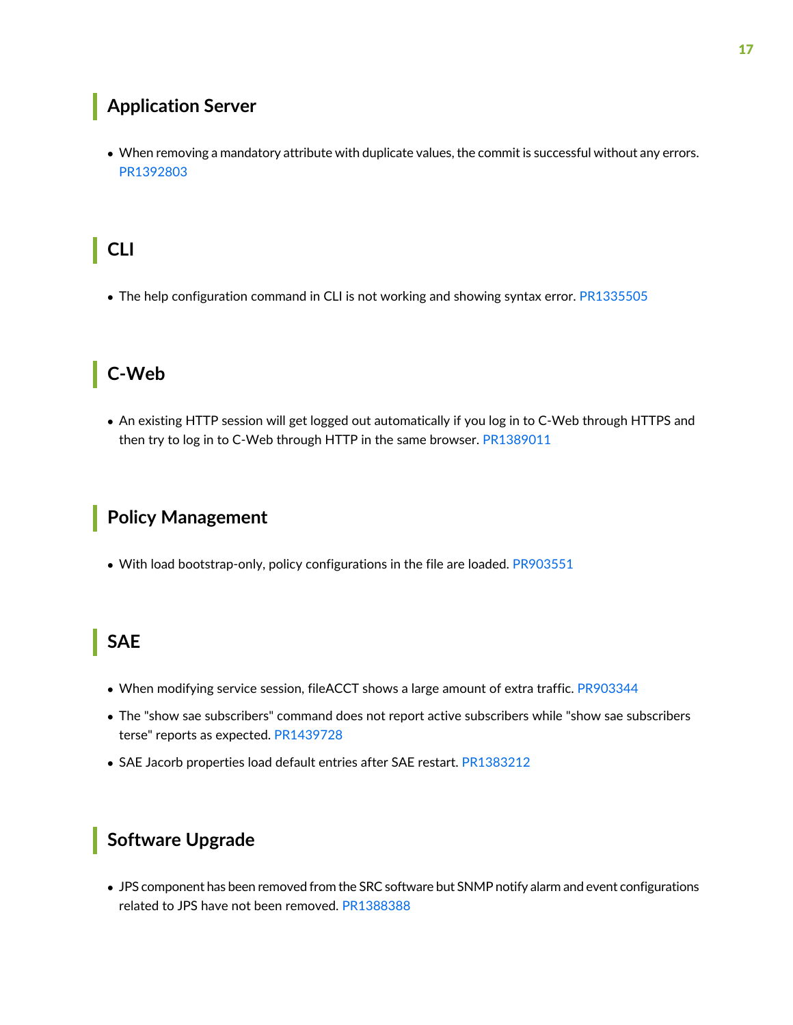## <span id="page-16-0"></span>**Application Server**

• When removing a mandatory attribute with duplicate values, the commit is successful without any errors. [PR1392803](https://prsearch.juniper.net/PR1392803)

# <span id="page-16-1"></span>**CLI**

<span id="page-16-2"></span>• The help configuration command in CLI is not working and showing syntax error. [PR1335505](https://prsearch.juniper.net/PR1335505)

# **C-Web**

<span id="page-16-3"></span>• An existing HTTP session will get logged out automatically if you log in to C-Web through HTTPS and then try to log in to C-Web through HTTP in the same browser. [PR1389011](https://prsearch.juniper.net/PR1389011)

## **Policy Management**

<span id="page-16-4"></span>• With load bootstrap-only, policy configurations in the file are loaded. [PR903551](https://prsearch.juniper.net/PR903551)

### **SAE**

- When modifying service session, fileACCT shows a large amount of extra traffic. [PR903344](https://prsearch.juniper.net/PR903344)
- The "show sae subscribers" command does not report active subscribers while "show sae subscribers terse" reports as expected. [PR1439728](https://prsearch.juniper.net/PR1439728)
- <span id="page-16-5"></span>• SAE Jacorb properties load default entries after SAE restart. [PR1383212](https://prsearch.juniper.net/PR1383212)

#### **Software Upgrade**

• JPS component has been removed from the SRC software but SNMP notify alarm and event configurations related to JPS have not been removed. [PR1388388](https://prsearch.juniper.net/PR1388388)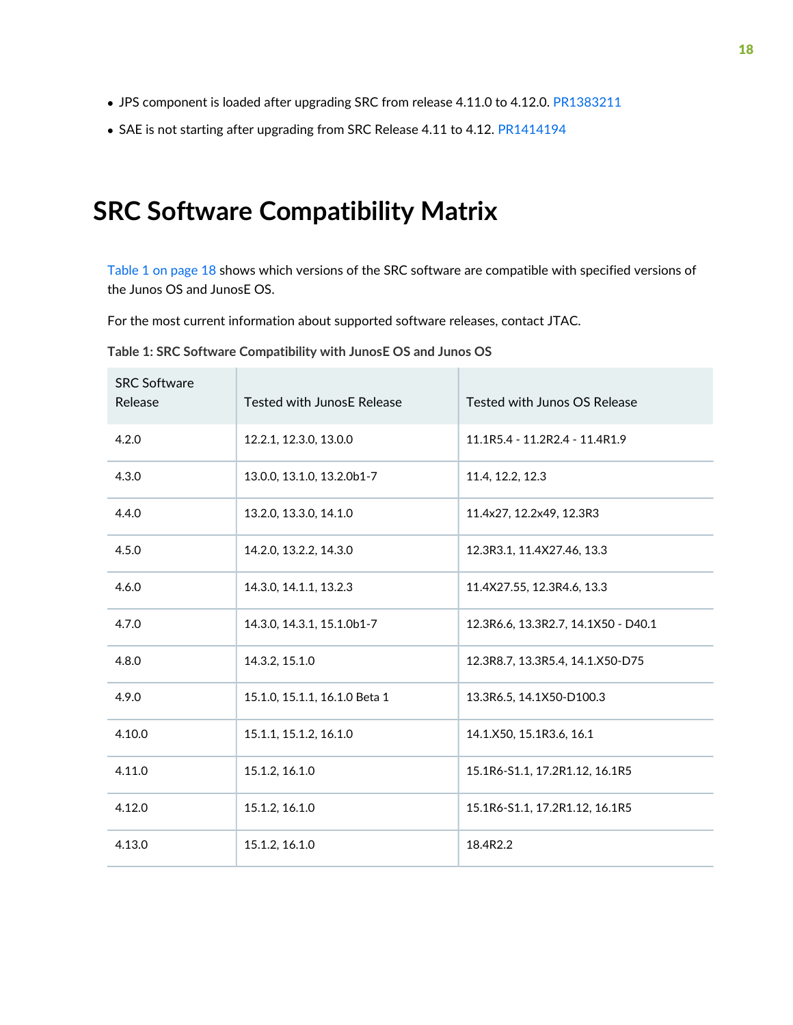- JPS component is loaded after upgrading SRC from release 4.11.0 to 4.12.0. [PR1383211](https://prsearch.juniper.net/PR1383211)
- SAE is not starting after upgrading from SRC Release 4.11 to 4.12. [PR1414194](https://prsearch.juniper.net/PR1414194)

# <span id="page-17-0"></span>**SRC Software Compatibility Matrix**

[Table](#page-17-1) 1 on page 18 shows which versions of the SRC software are compatible with specified versions of the Junos OS and JunosE OS.

<span id="page-17-1"></span>For the most current information about supported software releases, contact JTAC.

| <b>SRC Software</b><br>Release | <b>Tested with JunosE Release</b> | Tested with Junos OS Release        |
|--------------------------------|-----------------------------------|-------------------------------------|
| 4.2.0                          | 12.2.1, 12.3.0, 13.0.0            | 11.1R5.4 - 11.2R2.4 - 11.4R1.9      |
| 4.3.0                          | 13.0.0, 13.1.0, 13.2.0b1-7        | 11.4, 12.2, 12.3                    |
| 4.4.0                          | 13.2.0, 13.3.0, 14.1.0            | 11.4x27, 12.2x49, 12.3R3            |
| 4.5.0                          | 14.2.0, 13.2.2, 14.3.0            | 12.3R3.1, 11.4X27.46, 13.3          |
| 4.6.0                          | 14.3.0, 14.1.1, 13.2.3            | 11.4X27.55, 12.3R4.6, 13.3          |
| 4.7.0                          | 14.3.0, 14.3.1, 15.1.0b1-7        | 12.3R6.6, 13.3R2.7, 14.1X50 - D40.1 |
| 4.8.0                          | 14.3.2, 15.1.0                    | 12.3R8.7, 13.3R5.4, 14.1.X50-D75    |
| 4.9.0                          | 15.1.0, 15.1.1, 16.1.0 Beta 1     | 13.3R6.5, 14.1X50-D100.3            |
| 4.10.0                         | 15.1.1, 15.1.2, 16.1.0            | 14.1.X50, 15.1R3.6, 16.1            |
| 4.11.0                         | 15.1.2, 16.1.0                    | 15.1R6-S1.1, 17.2R1.12, 16.1R5      |
| 4.12.0                         | 15.1.2, 16.1.0                    | 15.1R6-S1.1, 17.2R1.12, 16.1R5      |
| 4.13.0                         | 15.1.2, 16.1.0                    | 18.4R2.2                            |

**Table 1: SRC Software Compatibility with JunosE OS and Junos OS**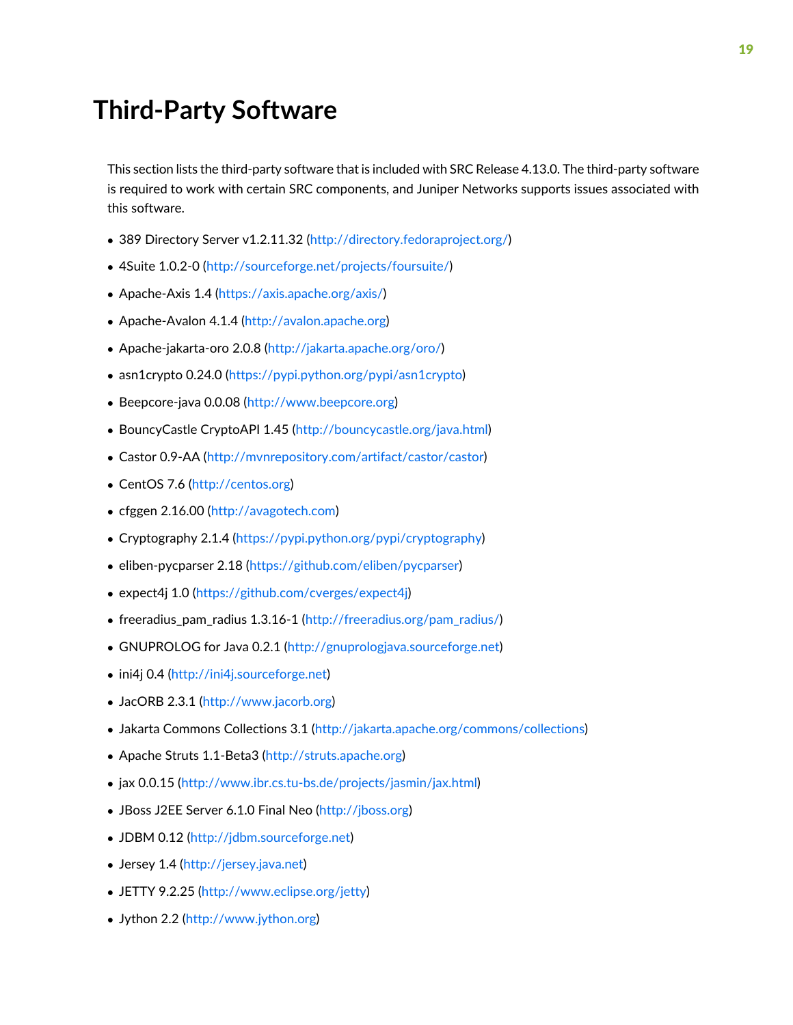# <span id="page-18-0"></span>**Third-Party Software**

This section lists the third-party software that is included with SRC Release 4.13.0. The third-party software is required to work with certain SRC components, and Juniper Networks supports issues associated with this software.

- 389 Directory Server v1.2.11.32 (<http://directory.fedoraproject.org/>)
- 4Suite 1.0.2-0 [\(http://sourceforge.net/projects/foursuite/](http://sourceforge.net/projects/foursuite/))
- Apache-Axis 1.4 ([https://axis.apache.org/axis/\)](https://axis.apache.org/axis/)
- Apache-Avalon 4.1.4 [\(http://avalon.apache.org](http://avalon.apache.org))
- Apache-jakarta-oro 2.0.8 ([http://jakarta.apache.org/oro/\)](http://jakarta.apache.org/oro/)
- asn1crypto 0.24.0 (<https://pypi.python.org/pypi/asn1crypto>)
- Beepcore-java 0.0.08 ([http://www.beepcore.org\)](http://www.beepcore.org)
- BouncyCastle CryptoAPI 1.45 [\(http://bouncycastle.org/java.html\)](http://bouncycastle.org/java.html)
- Castor 0.9-AA ([http://mvnrepository.com/artifact/castor/castor\)](http://mvnrepository.com/artifact/castor/castor)
- CentOS 7.6 [\(http://centos.org](http://centos.org))
- cfggen 2.16.00 [\(http://avagotech.com](http://avagotech.com))
- Cryptography 2.1.4 [\(https://pypi.python.org/pypi/cryptography](https://pypi.python.org/pypi/cryptography))
- eliben-pycparser 2.18 (<https://github.com/eliben/pycparser>)
- expect4j 1.0 [\(https://github.com/cverges/expect4j\)](https://github.com/cverges/expect4j)
- freeradius\_pam\_radius 1.3.16-1 ([http://freeradius.org/pam\\_radius/\)](http://freeradius.org/pam_radius/)
- GNUPROLOG for Java 0.2.1 [\(http://gnuprologjava.sourceforge.net\)](http://gnuprologjava.sourceforge.net)
- ini4j 0.4 [\(http://ini4j.sourceforge.net](http://ini4j.sourceforge.net))
- JacORB 2.3.1 (<http://www.jacorb.org>)
- Jakarta Commons Collections 3.1 [\(http://jakarta.apache.org/commons/collections\)](http://jakarta.apache.org/commons/collections)
- Apache Struts 1.1-Beta3 [\(http://struts.apache.org\)](http://struts.apache.org)
- jax 0.0.15 [\(http://www.ibr.cs.tu-bs.de/projects/jasmin/jax.html\)](http://www.ibr.cs.tu-bs.de/projects/jasmin/jax.html)
- JBoss J2EE Server 6.1.0 Final Neo ([http://jboss.org\)](http://jboss.org)
- JDBM 0.12 [\(http://jdbm.sourceforge.net\)](http://jdbm.sourceforge.net)
- Jersey 1.4 (<http://jersey.java.net>)
- JETTY 9.2.25 ([http://www.eclipse.org/jetty\)](http://www.eclipse.org/jetty)
- Jython 2.2 (<http://www.jython.org>)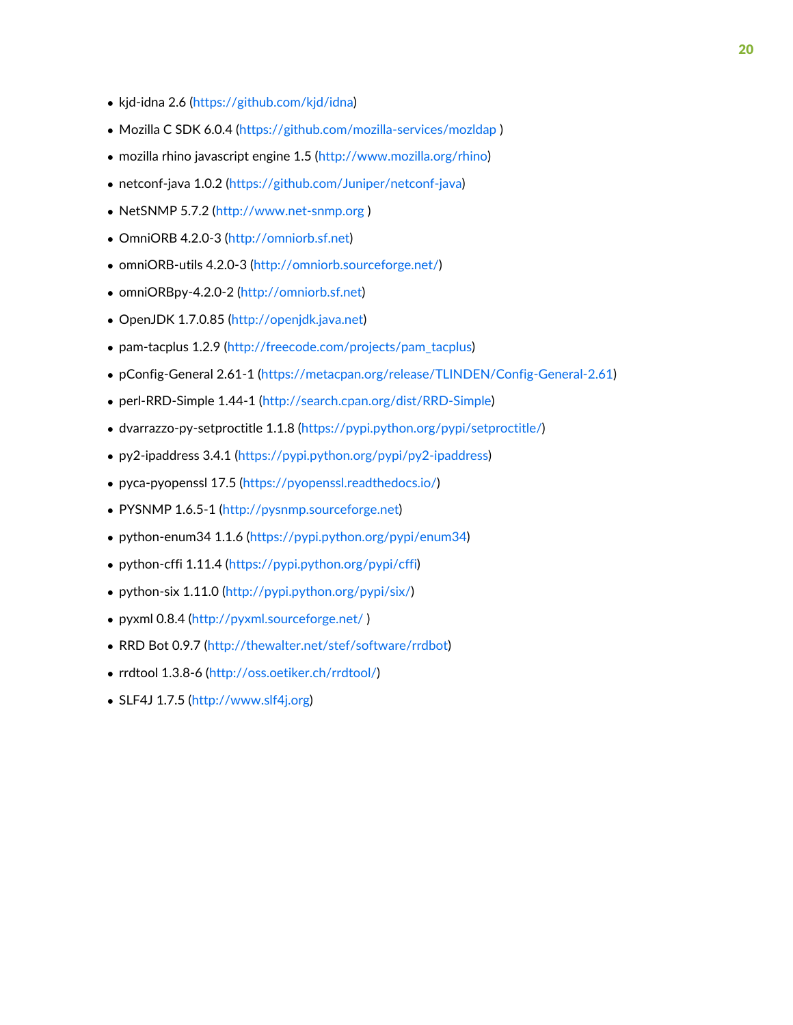- kjd-idna 2.6 [\(https://github.com/kjd/idna\)](https://github.com/kjd/idna)
- Mozilla C SDK 6.0.4 (https://github.com/mozilla-services/mozidap)
- mozilla rhino javascript engine 1.5 (<http://www.mozilla.org/rhino>)
- netconf-java 1.0.2 [\(https://github.com/Juniper/netconf-java\)](https://github.com/Juniper/netconf-java)
- NetSNMP 5.7.2 (<http://www.net-snmp.org> )
- OmniORB 4.2.0-3 [\(http://omniorb.sf.net\)](http://omniorb.sf.net)
- omniORB-utils 4.2.0-3 ([http://omniorb.sourceforge.net/\)](http://omniorb.sourceforge.net/)
- omniORBpy-4.2.0-2 ([http://omniorb.sf.net\)](http://omniorb.sf.net)
- OpenJDK 1.7.0.85 ([http://openjdk.java.net\)](http://openjdk.java.net)
- pam-tacplus 1.2.9 ([http://freecode.com/projects/pam\\_tacplus](http://freecode.com/projects/pam_tacplus))
- pConfig-General 2.61-1 ([https://metacpan.org/release/TLINDEN/Config-General-2.61\)](https://metacpan.org/release/TLINDEN/Config-General-2.61)
- perl-RRD-Simple 1.44-1 (<http://search.cpan.org/dist/RRD-Simple>)
- dvarrazzo-py-setproctitle 1.1.8 ([https://pypi.python.org/pypi/setproctitle/\)](https://pypi.python.org/pypi/setproctitle/)
- py2-ipaddress 3.4.1 (<https://pypi.python.org/pypi/py2-ipaddress>)
- pyca-pyopenssl 17.5 (<https://pyopenssl.readthedocs.io/>)
- PYSNMP 1.6.5-1 (<http://pysnmp.sourceforge.net>)
- python-enum34 1.1.6 [\(https://pypi.python.org/pypi/enum34](https://pypi.python.org/pypi/enum34))
- python-cffi 1.11.4 (<https://pypi.python.org/pypi/cffi>)
- python-six 1.11.0 [\(http://pypi.python.org/pypi/six/](http://pypi.python.org/pypi/six/))
- pyxml 0.8.4 [\(http://pyxml.sourceforge.net/](http://pyxml.sourceforge.net/) )
- RRD Bot 0.9.7 [\(http://thewalter.net/stef/software/rrdbot\)](http://thewalter.net/stef/software/rrdbot)
- rrdtool 1.3.8-6 ([http://oss.oetiker.ch/rrdtool/\)](http://oss.oetiker.ch/rrdtool/)
- SLF4J 1.7.5 [\(http://www.slf4j.org](http://www.slf4j.org))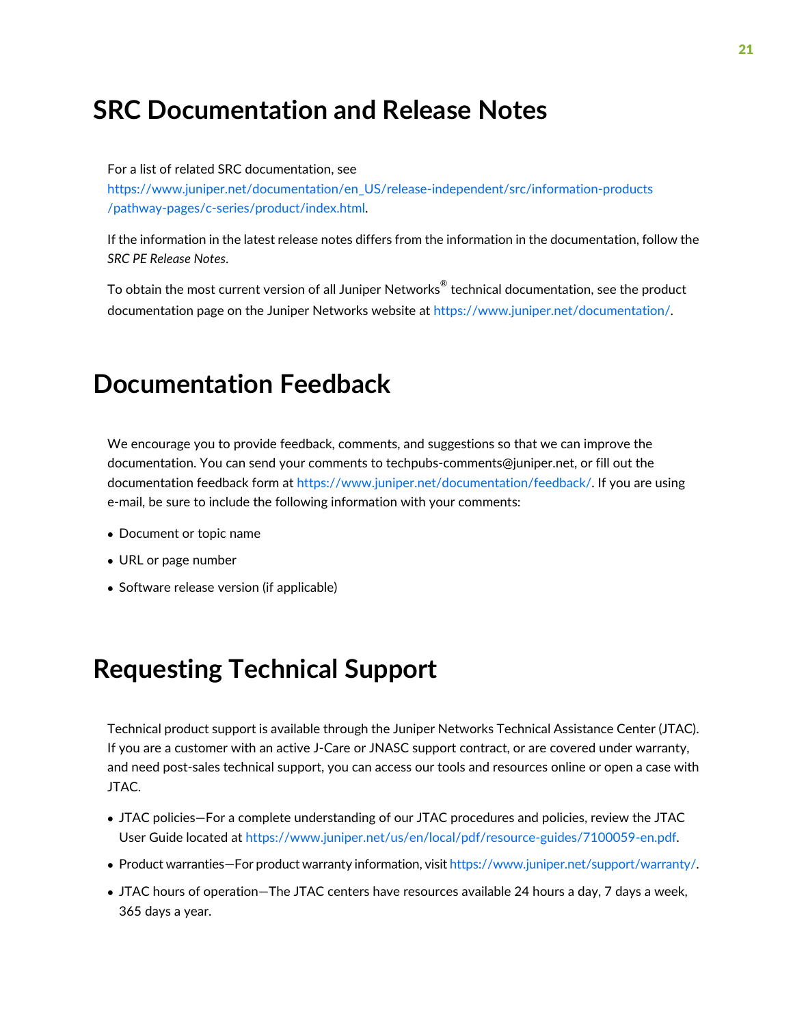# <span id="page-20-0"></span>**SRC Documentation and Release Notes**

For a list of related SRC documentation, see [https://www.juniper.net/documentation/en\\_US/release-independent/src/information-products](https://www.juniper.net/documentation/en_US/release-independent/src/information-products/pathway-pages/c-series/product/index.html) [/pathway-pages/c-series/product/index.html.](https://www.juniper.net/documentation/en_US/release-independent/src/information-products/pathway-pages/c-series/product/index.html)

If the information in the latest release notes differs from the information in the documentation, follow the *SRC PE Release Notes*.

To obtain the most current version of all Juniper Networks $^\circ$  technical documentation, see the product documentation page on the Juniper Networks website at [https://www.juniper.net/documentation/.](https://www.juniper.net/documentation/)

# <span id="page-20-1"></span>**Documentation Feedback**

We encourage you to provide feedback, comments, and suggestions so that we can improve the documentation. You can send your comments to [techpubs-comments@juniper.net,](mailto:techpubs-comments@juniper.net?subject=) or fill out the documentation feedback form at [https://www.juniper.net/documentation/feedback/.](https://www.juniper.net/documentation/feedback/) If you are using e-mail, be sure to include the following information with your comments:

- Document or topic name
- URL or page number
- <span id="page-20-2"></span>• Software release version (if applicable)

# **Requesting Technical Support**

Technical product support is available through the Juniper Networks Technical Assistance Center (JTAC). If you are a customer with an active J-Care or JNASC support contract, or are covered under warranty, and need post-sales technical support, you can access our tools and resources online or open a case with JTAC.

- JTAC policies—For a complete understanding of our JTAC procedures and policies, review the JTAC User Guide located at <https://www.juniper.net/us/en/local/pdf/resource-guides/7100059-en.pdf>.
- Product warranties—For product warranty information, visit [https://www.juniper.net/support/warranty/.](https://www.juniper.net/support/warranty/)
- JTAC hours of operation—The JTAC centers have resources available 24 hours a day, 7 days a week, 365 days a year.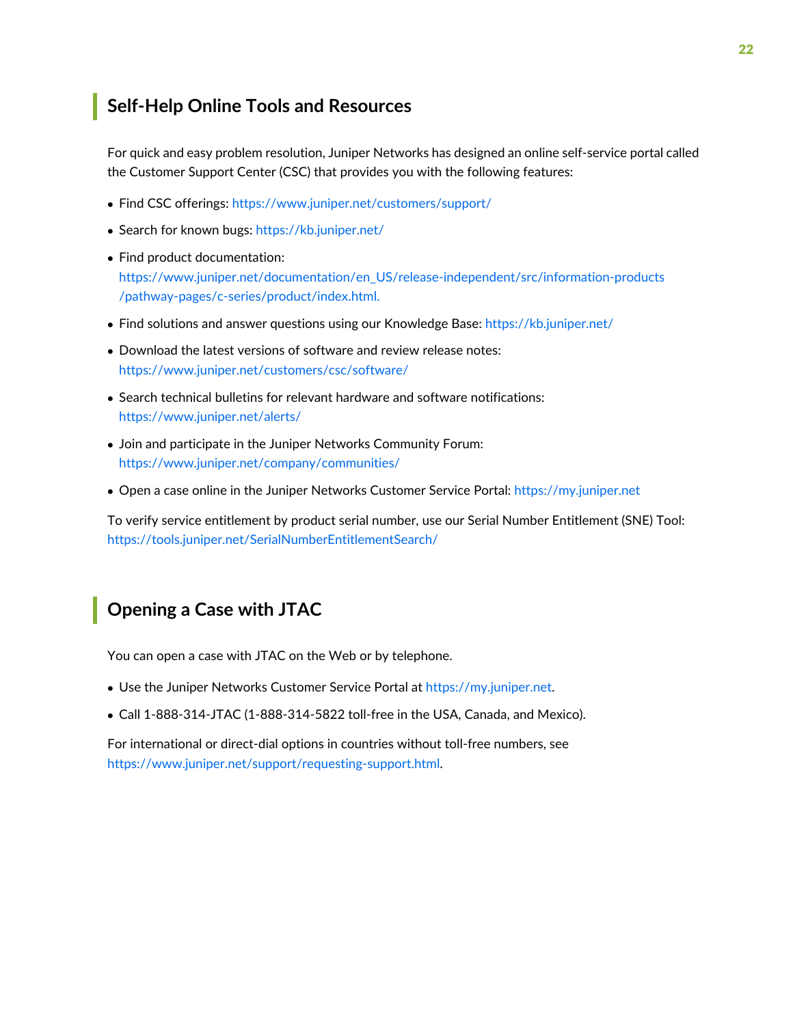#### <span id="page-21-0"></span>**Self-Help Online Tools and Resources**

For quick and easy problem resolution, Juniper Networks has designed an online self-service portal called the Customer Support Center (CSC) that provides you with the following features:

- Find CSC offerings: <https://www.juniper.net/customers/support/>
- Search for known bugs: <https://kb.juniper.net/>
- Find product documentation: [https://www.juniper.net/documentation/en\\_US/release-independent/src/information-products](https://www.juniper.net/documentation/en_US/release-independent/src/information-products
/pathway-pages/c-series/product/index.html.) [/pathway-pages/c-series/product/index.html.](https://www.juniper.net/documentation/en_US/release-independent/src/information-products
/pathway-pages/c-series/product/index.html.)
- Find solutions and answer questions using our Knowledge Base: <https://kb.juniper.net/>
- Download the latest versions of software and review release notes: <https://www.juniper.net/customers/csc/software/>
- Search technical bulletins for relevant hardware and software notifications: <https://www.juniper.net/alerts/>
- Join and participate in the Juniper Networks Community Forum: <https://www.juniper.net/company/communities/>
- Open a case online in the Juniper Networks Customer Service Portal: <https://my.juniper.net>

<span id="page-21-1"></span>To verify service entitlement by product serial number, use our Serial Number Entitlement (SNE) Tool: <https://tools.juniper.net/SerialNumberEntitlementSearch/>

#### **Opening a Case with JTAC**

You can open a case with JTAC on the Web or by telephone.

- Use the Juniper Networks Customer Service Portal at <https://my.juniper.net>.
- Call 1-888-314-JTAC (1-888-314-5822 toll-free in the USA, Canada, and Mexico).

For international or direct-dial options in countries without toll-free numbers, see [https://www.juniper.net/support/requesting-support.html.](https://www.juniper.net/support/requesting-support.html)